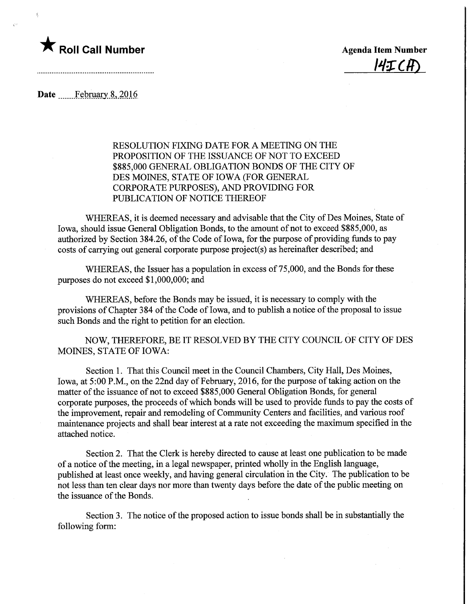## **The Roll Call Number Agents Container Agents Item Number**

 $I$ ult $\tau$ r $I$ r $\Gamma$ 

Date February 8, 2016

RESOLUTION FIXING DATE FOR A MEETING ON THE PROPOSITION OF THE ISSUANCE OF NOT TO EXCEED \$885,000 GENERAL OBLIGATION BONDS OF THE CITY OF DES MOINES, STATE OF IOWA (FOR GENERAL CORPORATE PURPOSES), AND PROVIDING FOR PUBLICATION OF NOTICE THEREOF

WHEREAS, it is deemed necessary and advisable that the City of Des Moines, State of Iowa, should issue General Obligation Bonds, to the amount of not to exceed \$885,000, as authorized by Section 384.26, of the Code of Iowa, for the purpose of providing funds to pay costs of carrying out general corporate purpose project(s) as hereinafter described; and

WHEREAS, the Issuer has a population in excess of 75,000, and the Bonds for these purposes do not exceed \$1,000,000; and

WHEREAS, before the Bonds may be issued, it is necessary to comply with the provisions of Chapter 384 of the Code of Iowa, and to publish a notice of the proposal to issue such Bonds and the right to petition for an election.

NOW, THEREFORE, BE IT RESOLVED BY THE CITY COUNCIL OF CITY OF DES MOINES, STATE OF IOWA:

Section 1. That this Council meet in the Council Chambers, City Hall, Des Moines, Iowa, at 5:00 P.M., on the 22nd day of February, 2016, for the purpose of taking action on the matter of the issuance of not to exceed \$885,000 General Obligation Bonds, for general corporate purposes, the proceeds of which bonds will be used to provide funds to pay the costs of the improvement, repair and remodeling of Community Centers and facilities, and various roof maintenance projects and shall bear interest at a rate not exceeding the maximum specified in the attached notice.

Section 2. That the Clerk is hereby directed to cause at least one publication to be made of a notice of the meeting, in a legal newspaper, printed wholly in the English language, published at least once weekly, and having general circulation in the City. The publication to be not less than ten clear days nor more than twenty days before the date of the public meeting on the issuance of the Bonds.

Section 3. The notice of the proposed action to issue bonds shall be in substantially the following form: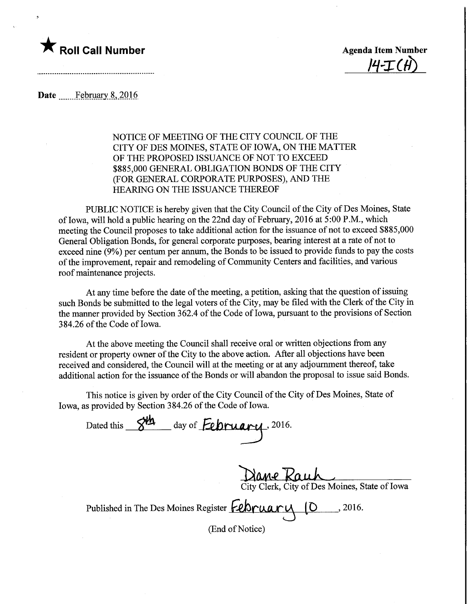

 $|4-T$ 

Date ..... February 8, 2016

## NOTICE OF MEETING OF THE CITY COUNCIL OF THE CITY OF DES MOINES, STATE OF IOWA, ON THE MATTER OF THE PROPOSED ISSUANCE OF NOT TO EXCEED \$885,000 GENERAL OBLIGATION BONDS OF THE CITY (FOR GENERAL CORPORATE PURPOSES), AND THE HEARING ON THE ISSUANCE THEREOF

PUBLIC NOTICE is hereby given that the City Council of the City of Des Moines, State of Iowa, will hold a public hearing on the 22nd day of February, 2016 at 5:00 P.M., which meeting the Council proposes to take additional action for the issuance of not to exceed \$885,000 General Obligation Bonds, for general corporate purposes, bearing interest at a rate of not to exceed nine (9%) per centum per annum, the Bonds to be issued to provide funds to pay the costs of the improvement, repair and remodeling of Community Centers and facilities, and various roof maintenance projects.

At any time before the date of the meeting, a petition, asking that the question of issuing such Bonds be submitted to the legal voters of the City, may be filed with the Clerk of the City in the manner provided by Section 362.4 of the Code of Iowa, pursuant to the provisions of Section 384.26 of the Code of Iowa.

At the above meeting the Council shall receive oral or written objections from any resident or property owner of the City to the above action. After all objections have been received and considered, the Council will at the meeting or at any adjournment thereof, take additional action for the issuance of the Bonds or will abandon the proposal to issue said Bonds.

This notice is given by order of the City Council of the City of Des Moines, State of Iowa, as provided by Section 384.26 of the Code of Iowa.

Dated this  $84$  day of **February**, 2016.

jane Kauh City Clerk, City of Des Moines, State of Iowa

Published in The Des Moines Register February (D . 2016.

(End of Notice)